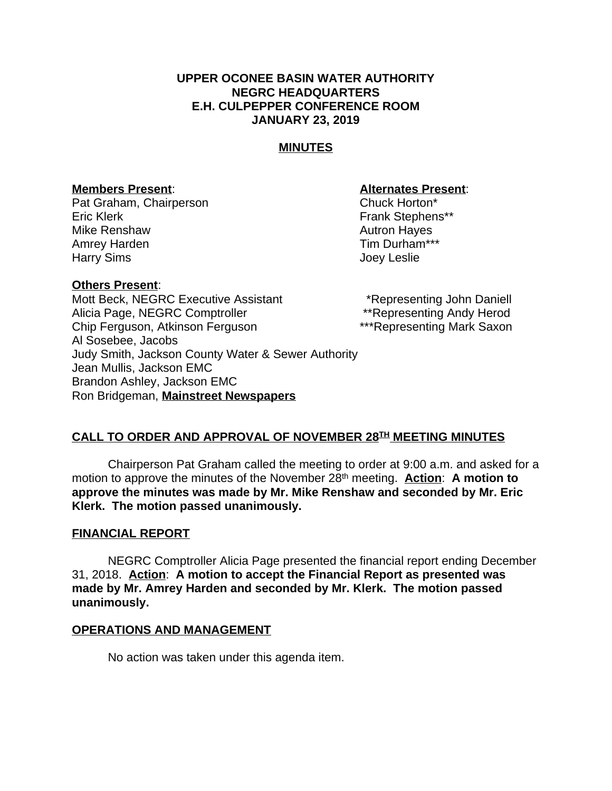### **UPPER OCONEE BASIN WATER AUTHORITY NEGRC HEADQUARTERS E.H. CULPEPPER CONFERENCE ROOM JANUARY 23, 2019**

## **MINUTES**

### **Members Present**: **Alternates Present**:

Pat Graham, Chairperson Chuck Horton\* Eric Klerk Frank Stephens\*\* Mike Renshaw **Autron Hayes** Autron Hayes Amrey Harden **Tim Durham\*\*\*** Harry Sims **Harry Sims Joey Leslie** 

### **Others Present**:

Mott Beck, NEGRC Executive Assistant \*Representing John Daniell Alicia Page, NEGRC Comptroller \*\*\* \*\*\* Representing Andy Herod Chip Ferguson, Atkinson Ferguson \*\*\*Representing Mark Saxon Al Sosebee, Jacobs Judy Smith, Jackson County Water & Sewer Authority Jean Mullis, Jackson EMC Brandon Ashley, Jackson EMC Ron Bridgeman, **Mainstreet Newspapers**

### **CALL TO ORDER AND APPROVAL OF NOVEMBER 28TH MEETING MINUTES**

Chairperson Pat Graham called the meeting to order at 9:00 a.m. and asked for a motion to approve the minutes of the November 28th meeting. **Action**: **A motion to approve the minutes was made by Mr. Mike Renshaw and seconded by Mr. Eric Klerk. The motion passed unanimously.**

### **FINANCIAL REPORT**

NEGRC Comptroller Alicia Page presented the financial report ending December 31, 2018. **Action**: **A motion to accept the Financial Report as presented was made by Mr. Amrey Harden and seconded by Mr. Klerk. The motion passed unanimously.**

#### **OPERATIONS AND MANAGEMENT**

No action was taken under this agenda item.